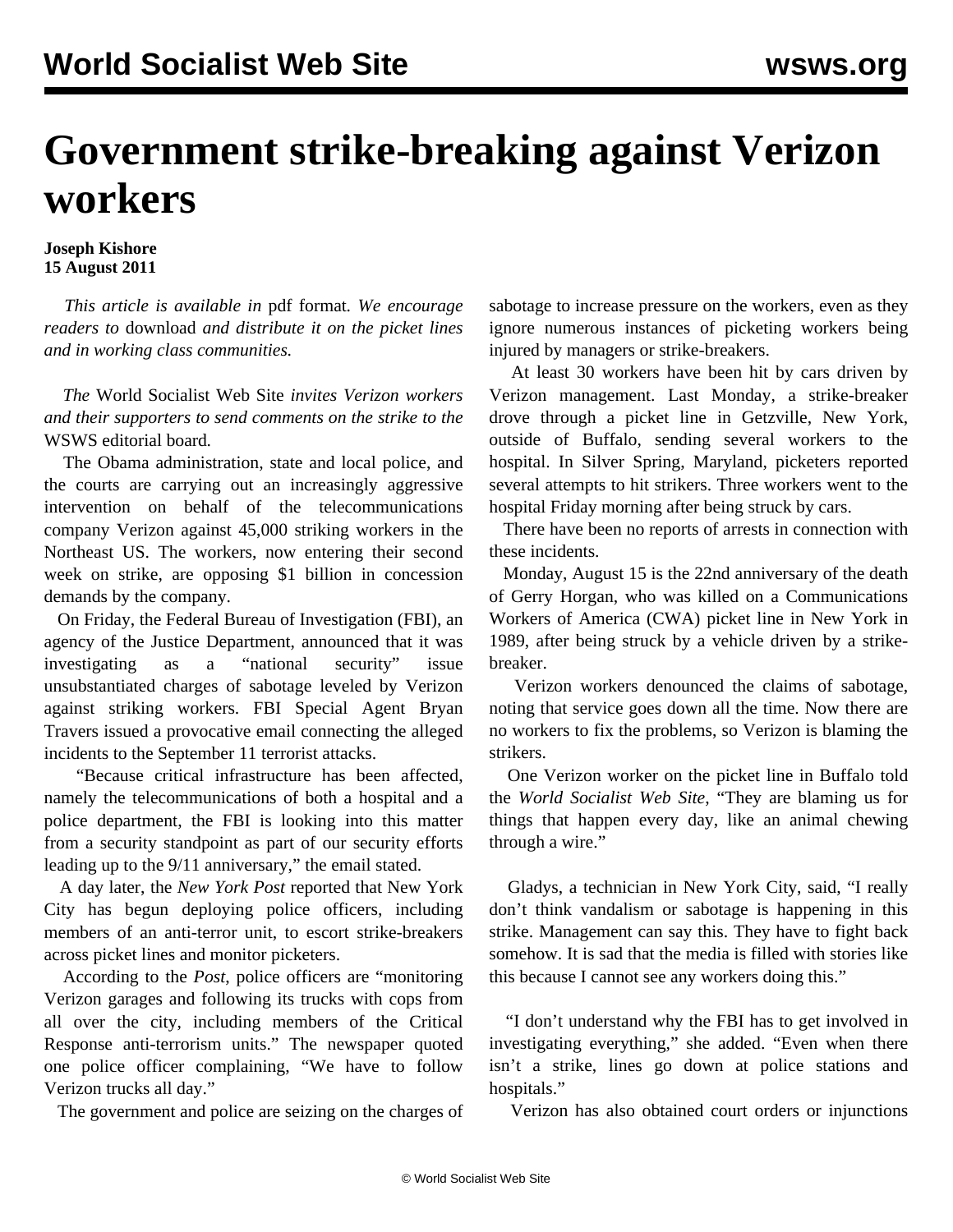## **Government strike-breaking against Verizon workers**

## **Joseph Kishore 15 August 2011**

 *This article is available in* pdf format*. We encourage readers to* download *and distribute it on the picket lines and in working class communities.*

 *The* World Socialist Web Site *invites Verizon workers and their supporters to send comments on the strike to the* [WSWS editorial board](/wsws/dd-formmailer/dd-formmailer.php)*.*

 The Obama administration, state and local police, and the courts are carrying out an increasingly aggressive intervention on behalf of the telecommunications company Verizon against 45,000 striking workers in the Northeast US. The workers, now entering their second week on strike, are opposing \$1 billion in concession demands by the company.

 On Friday, the Federal Bureau of Investigation (FBI), an agency of the Justice Department, announced that it was investigating as a "national security" issue unsubstantiated charges of sabotage leveled by Verizon against striking workers. FBI Special Agent Bryan Travers issued a provocative email connecting the alleged incidents to the September 11 terrorist attacks.

 "Because critical infrastructure has been affected, namely the telecommunications of both a hospital and a police department, the FBI is looking into this matter from a security standpoint as part of our security efforts leading up to the 9/11 anniversary," the email stated.

 A day later, the *New York Post* reported that New York City has begun deploying police officers, including members of an anti-terror unit, to escort strike-breakers across picket lines and monitor picketers.

 According to the *Post*, police officers are "monitoring Verizon garages and following its trucks with cops from all over the city, including members of the Critical Response anti-terrorism units." The newspaper quoted one police officer complaining, "We have to follow Verizon trucks all day."

The government and police are seizing on the charges of

sabotage to increase pressure on the workers, even as they ignore numerous instances of picketing workers being injured by managers or strike-breakers.

 At least 30 workers have been hit by cars driven by Verizon management. Last Monday, a strike-breaker drove through a picket line in Getzville, New York, outside of Buffalo, sending several workers to the hospital. In Silver Spring, Maryland, picketers reported several attempts to hit strikers. Three workers went to the hospital Friday morning after being struck by cars.

 There have been no reports of arrests in connection with these incidents.

 Monday, August 15 is the 22nd anniversary of the death of Gerry Horgan, who was killed on a Communications Workers of America (CWA) picket line in New York in 1989, after being struck by a vehicle driven by a strikebreaker.

 Verizon workers denounced the claims of sabotage, noting that service goes down all the time. Now there are no workers to fix the problems, so Verizon is blaming the strikers.

 One Verizon worker on the picket line in Buffalo told the *World Socialist Web Site*, "They are blaming us for things that happen every day, like an animal chewing through a wire."

 Gladys, a technician in New York City, said, "I really don't think vandalism or sabotage is happening in this strike. Management can say this. They have to fight back somehow. It is sad that the media is filled with stories like this because I cannot see any workers doing this."

 "I don't understand why the FBI has to get involved in investigating everything," she added. "Even when there isn't a strike, lines go down at police stations and hospitals."

Verizon has also obtained court orders or injunctions